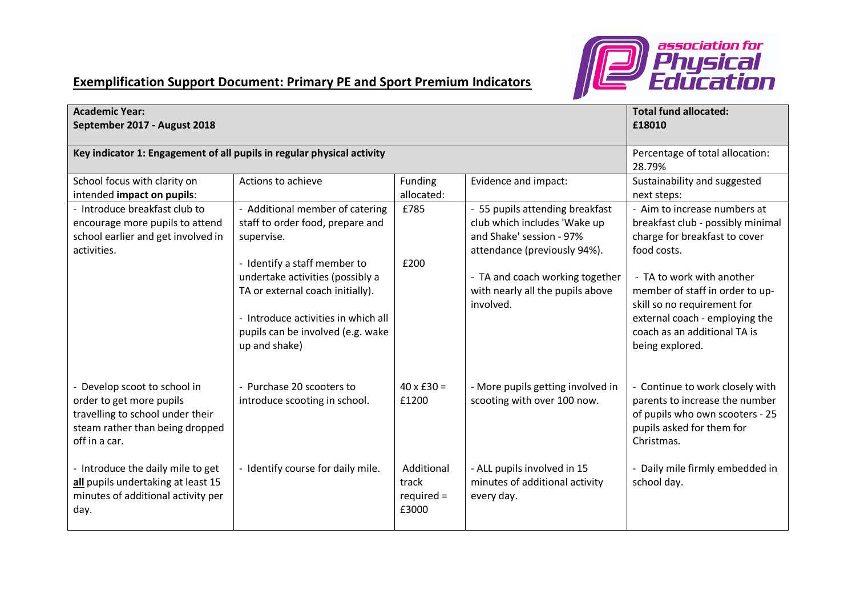

## **Exemplification Support Document: Primary PE and Sport Premium Indicators**

| <b>Academic Year:</b><br>September 2017 - August 2018                                                                                            | <b>Total fund allocated:</b><br>£18010                                                                                                                                                            |                                              |                                                                                                                             |                                                                                                                                                                                  |
|--------------------------------------------------------------------------------------------------------------------------------------------------|---------------------------------------------------------------------------------------------------------------------------------------------------------------------------------------------------|----------------------------------------------|-----------------------------------------------------------------------------------------------------------------------------|----------------------------------------------------------------------------------------------------------------------------------------------------------------------------------|
| Key indicator 1: Engagement of all pupils in regular physical activity                                                                           | Percentage of total allocation:<br>28.79%                                                                                                                                                         |                                              |                                                                                                                             |                                                                                                                                                                                  |
| School focus with clarity on<br>intended impact on pupils:                                                                                       | Actions to achieve                                                                                                                                                                                | Evidence and impact:                         | Sustainability and suggested<br>next steps:                                                                                 |                                                                                                                                                                                  |
| - Introduce breakfast club to<br>encourage more pupils to attend<br>school earlier and get involved in<br>activities.                            | - Additional member of catering<br>staff to order food, prepare and<br>supervise.                                                                                                                 | £785                                         | - 55 pupils attending breakfast<br>club which includes 'Wake up<br>and Shake' session - 97%<br>attendance (previously 94%). | - Aim to increase numbers at<br>breakfast club - possibly minimal<br>charge for breakfast to cover<br>food costs.                                                                |
|                                                                                                                                                  | - Identify a staff member to<br>undertake activities (possibly a<br>TA or external coach initially).<br>- Introduce activities in which all<br>pupils can be involved (e.g. wake<br>up and shake) | £200                                         | - TA and coach working together<br>with nearly all the pupils above<br>involved.                                            | - TA to work with another<br>member of staff in order to up-<br>skill so no requirement for<br>external coach - employing the<br>coach as an additional TA is<br>being explored. |
| - Develop scoot to school in<br>order to get more pupils<br>travelling to school under their<br>steam rather than being dropped<br>off in a car. | - Purchase 20 scooters to<br>introduce scooting in school.                                                                                                                                        | $40 \times £30 =$<br>£1200                   | - More pupils getting involved in<br>scooting with over 100 now.                                                            | - Continue to work closely with<br>parents to increase the number<br>of pupils who own scooters - 25<br>pupils asked for them for<br>Christmas.                                  |
| - Introduce the daily mile to get<br>all pupils undertaking at least 15<br>minutes of additional activity per<br>day.                            | - Identify course for daily mile.                                                                                                                                                                 | Additional<br>track<br>$required =$<br>£3000 | - ALL pupils involved in 15<br>minutes of additional activity<br>every day.                                                 | - Daily mile firmly embedded in<br>school day.                                                                                                                                   |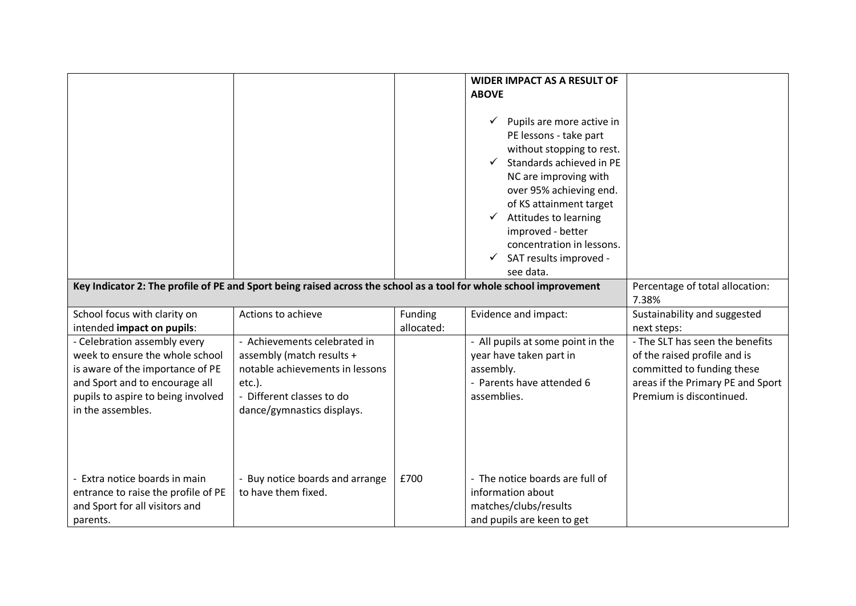|                                                                                                                                                                                                  | Key Indicator 2: The profile of PE and Sport being raised across the school as a tool for whole school improvement                                                   |                       | <b>WIDER IMPACT AS A RESULT OF</b><br><b>ABOVE</b><br>Pupils are more active in<br>✓<br>PE lessons - take part<br>without stopping to rest.<br>Standards achieved in PE<br>NC are improving with<br>over 95% achieving end.<br>of KS attainment target<br>Attitudes to learning<br>improved - better<br>concentration in lessons.<br>SAT results improved -<br>see data. | Percentage of total allocation:                                                                                                                                |
|--------------------------------------------------------------------------------------------------------------------------------------------------------------------------------------------------|----------------------------------------------------------------------------------------------------------------------------------------------------------------------|-----------------------|--------------------------------------------------------------------------------------------------------------------------------------------------------------------------------------------------------------------------------------------------------------------------------------------------------------------------------------------------------------------------|----------------------------------------------------------------------------------------------------------------------------------------------------------------|
| School focus with clarity on<br>intended impact on pupils:                                                                                                                                       | Actions to achieve                                                                                                                                                   | Funding<br>allocated: | Evidence and impact:                                                                                                                                                                                                                                                                                                                                                     | 7.38%<br>Sustainability and suggested<br>next steps:                                                                                                           |
| - Celebration assembly every<br>week to ensure the whole school<br>is aware of the importance of PE<br>and Sport and to encourage all<br>pupils to aspire to being involved<br>in the assembles. | - Achievements celebrated in<br>assembly (match results +<br>notable achievements in lessons<br>$etc.$ ).<br>- Different classes to do<br>dance/gymnastics displays. |                       | - All pupils at some point in the<br>year have taken part in<br>assembly.<br>- Parents have attended 6<br>assemblies.                                                                                                                                                                                                                                                    | - The SLT has seen the benefits<br>of the raised profile and is<br>committed to funding these<br>areas if the Primary PE and Sport<br>Premium is discontinued. |
| - Extra notice boards in main<br>entrance to raise the profile of PE<br>and Sport for all visitors and<br>parents.                                                                               | - Buy notice boards and arrange<br>to have them fixed.                                                                                                               | £700                  | - The notice boards are full of<br>information about<br>matches/clubs/results<br>and pupils are keen to get                                                                                                                                                                                                                                                              |                                                                                                                                                                |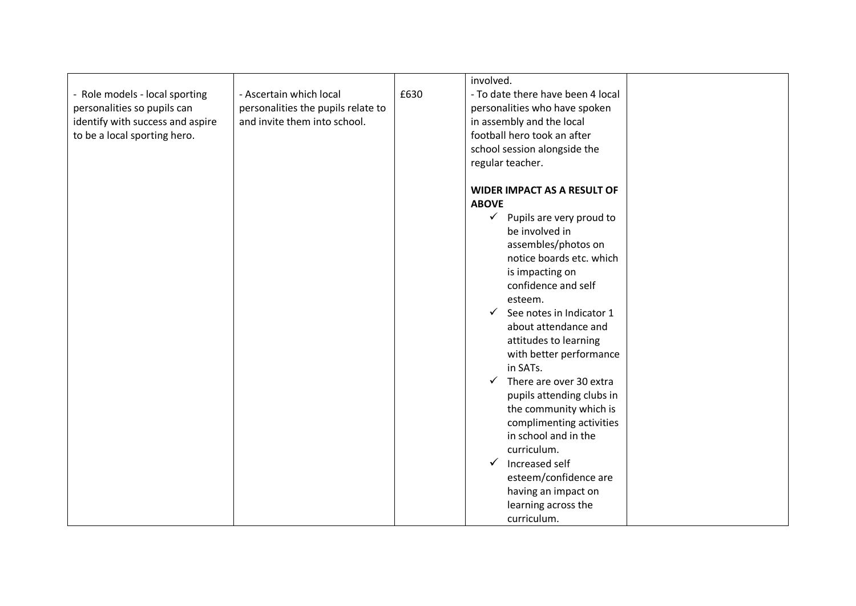|                                  |                                    |      | involved.                                |  |
|----------------------------------|------------------------------------|------|------------------------------------------|--|
| - Role models - local sporting   | - Ascertain which local            | £630 | - To date there have been 4 local        |  |
| personalities so pupils can      | personalities the pupils relate to |      | personalities who have spoken            |  |
| identify with success and aspire | and invite them into school.       |      | in assembly and the local                |  |
| to be a local sporting hero.     |                                    |      | football hero took an after              |  |
|                                  |                                    |      | school session alongside the             |  |
|                                  |                                    |      | regular teacher.                         |  |
|                                  |                                    |      |                                          |  |
|                                  |                                    |      | <b>WIDER IMPACT AS A RESULT OF</b>       |  |
|                                  |                                    |      | <b>ABOVE</b>                             |  |
|                                  |                                    |      | $\checkmark$<br>Pupils are very proud to |  |
|                                  |                                    |      | be involved in                           |  |
|                                  |                                    |      | assembles/photos on                      |  |
|                                  |                                    |      | notice boards etc. which                 |  |
|                                  |                                    |      | is impacting on                          |  |
|                                  |                                    |      | confidence and self                      |  |
|                                  |                                    |      | esteem.                                  |  |
|                                  |                                    |      | See notes in Indicator 1<br>$\checkmark$ |  |
|                                  |                                    |      | about attendance and                     |  |
|                                  |                                    |      |                                          |  |
|                                  |                                    |      | attitudes to learning                    |  |
|                                  |                                    |      | with better performance                  |  |
|                                  |                                    |      | in SATs.                                 |  |
|                                  |                                    |      | There are over 30 extra<br>$\checkmark$  |  |
|                                  |                                    |      | pupils attending clubs in                |  |
|                                  |                                    |      | the community which is                   |  |
|                                  |                                    |      | complimenting activities                 |  |
|                                  |                                    |      | in school and in the                     |  |
|                                  |                                    |      | curriculum.                              |  |
|                                  |                                    |      | Increased self<br>$\checkmark$           |  |
|                                  |                                    |      | esteem/confidence are                    |  |
|                                  |                                    |      | having an impact on                      |  |
|                                  |                                    |      | learning across the                      |  |
|                                  |                                    |      | curriculum.                              |  |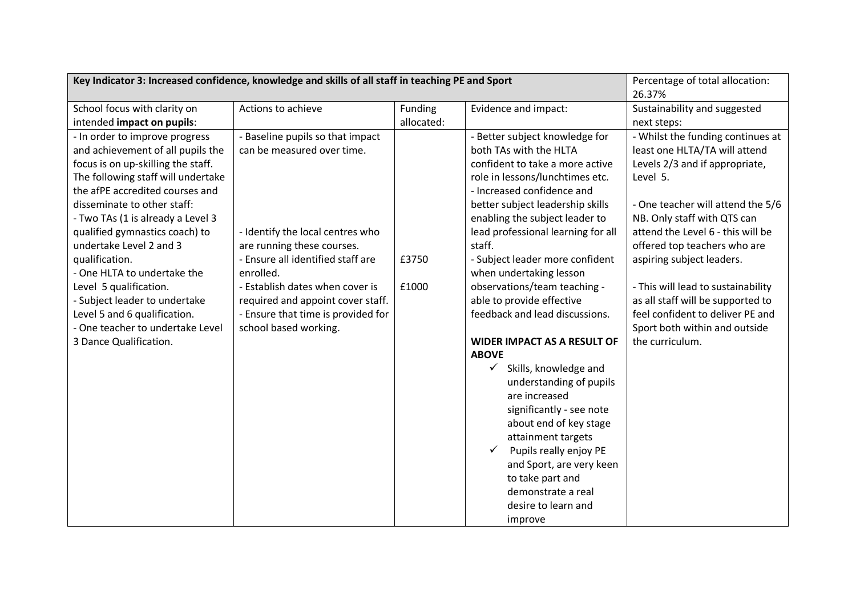| Key Indicator 3: Increased confidence, knowledge and skills of all staff in teaching PE and Sport | Percentage of total allocation:    |                     |                                                    |                                    |
|---------------------------------------------------------------------------------------------------|------------------------------------|---------------------|----------------------------------------------------|------------------------------------|
|                                                                                                   | 26.37%                             |                     |                                                    |                                    |
| School focus with clarity on                                                                      | Actions to achieve<br>Funding      |                     | Evidence and impact:                               | Sustainability and suggested       |
| intended impact on pupils:                                                                        |                                    | allocated:          |                                                    | next steps:                        |
| - In order to improve progress                                                                    | - Baseline pupils so that impact   |                     | - Better subject knowledge for                     | - Whilst the funding continues at  |
| and achievement of all pupils the                                                                 | can be measured over time.         |                     | both TAs with the HLTA                             | least one HLTA/TA will attend      |
| focus is on up-skilling the staff.                                                                |                                    |                     | confident to take a more active                    | Levels 2/3 and if appropriate,     |
| The following staff will undertake                                                                |                                    |                     | role in lessons/lunchtimes etc.                    | Level 5.                           |
| the afPE accredited courses and                                                                   |                                    |                     | - Increased confidence and                         |                                    |
| disseminate to other staff:                                                                       |                                    |                     | better subject leadership skills                   | - One teacher will attend the 5/6  |
| - Two TAs (1 is already a Level 3                                                                 |                                    |                     | enabling the subject leader to                     | NB. Only staff with QTS can        |
| qualified gymnastics coach) to                                                                    | - Identify the local centres who   |                     | lead professional learning for all                 | attend the Level 6 - this will be  |
| undertake Level 2 and 3                                                                           | are running these courses.         |                     | staff.                                             | offered top teachers who are       |
| qualification.                                                                                    | - Ensure all identified staff are  | £3750               | - Subject leader more confident                    | aspiring subject leaders.          |
| - One HLTA to undertake the                                                                       | enrolled.                          |                     | when undertaking lesson                            |                                    |
| Level 5 qualification.                                                                            | - Establish dates when cover is    | £1000               | observations/team teaching -                       | - This will lead to sustainability |
| - Subject leader to undertake                                                                     | required and appoint cover staff.  |                     | able to provide effective                          | as all staff will be supported to  |
| Level 5 and 6 qualification.                                                                      | - Ensure that time is provided for |                     | feedback and lead discussions.                     | feel confident to deliver PE and   |
| - One teacher to undertake Level                                                                  | school based working.              |                     |                                                    | Sport both within and outside      |
| 3 Dance Qualification.                                                                            |                                    |                     | <b>WIDER IMPACT AS A RESULT OF</b><br><b>ABOVE</b> | the curriculum.                    |
|                                                                                                   |                                    |                     | $\checkmark$<br>Skills, knowledge and              |                                    |
|                                                                                                   |                                    |                     | understanding of pupils                            |                                    |
|                                                                                                   |                                    |                     | are increased                                      |                                    |
|                                                                                                   |                                    |                     | significantly - see note                           |                                    |
|                                                                                                   |                                    |                     | about end of key stage                             |                                    |
|                                                                                                   |                                    |                     | attainment targets                                 |                                    |
|                                                                                                   |                                    |                     | Pupils really enjoy PE<br>$\checkmark$             |                                    |
|                                                                                                   |                                    |                     | and Sport, are very keen                           |                                    |
|                                                                                                   |                                    |                     | to take part and                                   |                                    |
|                                                                                                   |                                    | demonstrate a real  |                                                    |                                    |
|                                                                                                   |                                    | desire to learn and |                                                    |                                    |
|                                                                                                   |                                    |                     | improve                                            |                                    |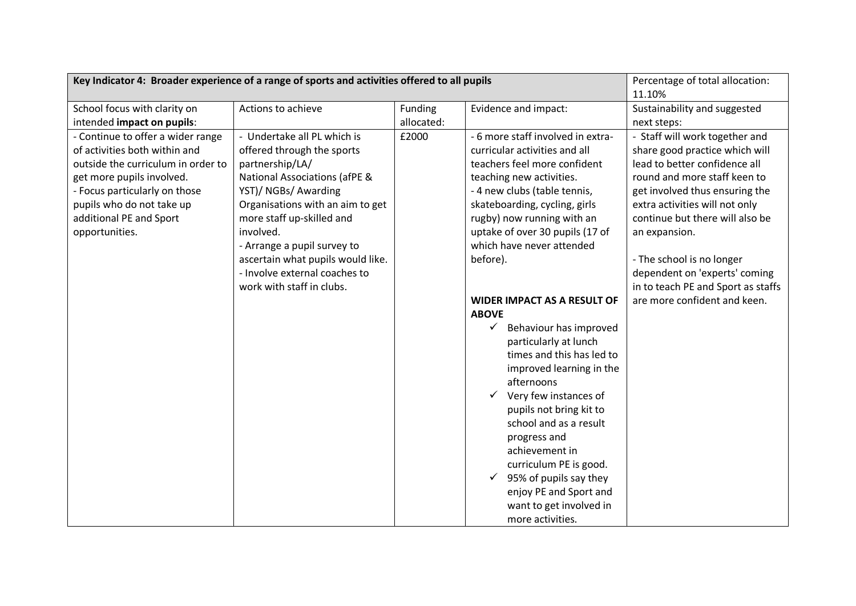| Key Indicator 4: Broader experience of a range of sports and activities offered to all pupils |                                          |                  |                                        | Percentage of total allocation:    |
|-----------------------------------------------------------------------------------------------|------------------------------------------|------------------|----------------------------------------|------------------------------------|
|                                                                                               |                                          | 11.10%           |                                        |                                    |
| School focus with clarity on                                                                  | Actions to achieve<br>Funding            |                  | Evidence and impact:                   | Sustainability and suggested       |
| intended impact on pupils:                                                                    |                                          | allocated:       |                                        | next steps:                        |
| - Continue to offer a wider range                                                             | - Undertake all PL which is              | £2000            | - 6 more staff involved in extra-      | - Staff will work together and     |
| of activities both within and                                                                 | offered through the sports               |                  | curricular activities and all          | share good practice which will     |
| outside the curriculum in order to                                                            | partnership/LA/                          |                  | teachers feel more confident           | lead to better confidence all      |
| get more pupils involved.                                                                     | <b>National Associations (afPE &amp;</b> |                  | teaching new activities.               | round and more staff keen to       |
| - Focus particularly on those                                                                 | YST)/ NGBs/ Awarding                     |                  | - 4 new clubs (table tennis,           | get involved thus ensuring the     |
| pupils who do not take up                                                                     | Organisations with an aim to get         |                  | skateboarding, cycling, girls          | extra activities will not only     |
| additional PE and Sport                                                                       | more staff up-skilled and                |                  | rugby) now running with an             | continue but there will also be    |
| opportunities.                                                                                | involved.                                |                  | uptake of over 30 pupils (17 of        | an expansion.                      |
|                                                                                               | - Arrange a pupil survey to              |                  | which have never attended              |                                    |
|                                                                                               | ascertain what pupils would like.        |                  | before).                               | - The school is no longer          |
|                                                                                               | - Involve external coaches to            |                  |                                        | dependent on 'experts' coming      |
|                                                                                               | work with staff in clubs.                |                  |                                        | in to teach PE and Sport as staffs |
|                                                                                               |                                          |                  | <b>WIDER IMPACT AS A RESULT OF</b>     | are more confident and keen.       |
|                                                                                               |                                          |                  | <b>ABOVE</b>                           |                                    |
|                                                                                               |                                          |                  | $\checkmark$<br>Behaviour has improved |                                    |
|                                                                                               |                                          |                  | particularly at lunch                  |                                    |
|                                                                                               |                                          |                  | times and this has led to              |                                    |
|                                                                                               |                                          |                  | improved learning in the               |                                    |
|                                                                                               |                                          |                  | afternoons                             |                                    |
|                                                                                               |                                          |                  | Very few instances of<br>$\checkmark$  |                                    |
|                                                                                               |                                          |                  | pupils not bring kit to                |                                    |
|                                                                                               |                                          |                  | school and as a result                 |                                    |
|                                                                                               |                                          |                  | progress and                           |                                    |
|                                                                                               |                                          |                  | achievement in                         |                                    |
|                                                                                               |                                          |                  | curriculum PE is good.                 |                                    |
|                                                                                               |                                          |                  | 95% of pupils say they<br>$\checkmark$ |                                    |
|                                                                                               |                                          |                  | enjoy PE and Sport and                 |                                    |
|                                                                                               |                                          |                  | want to get involved in                |                                    |
|                                                                                               |                                          | more activities. |                                        |                                    |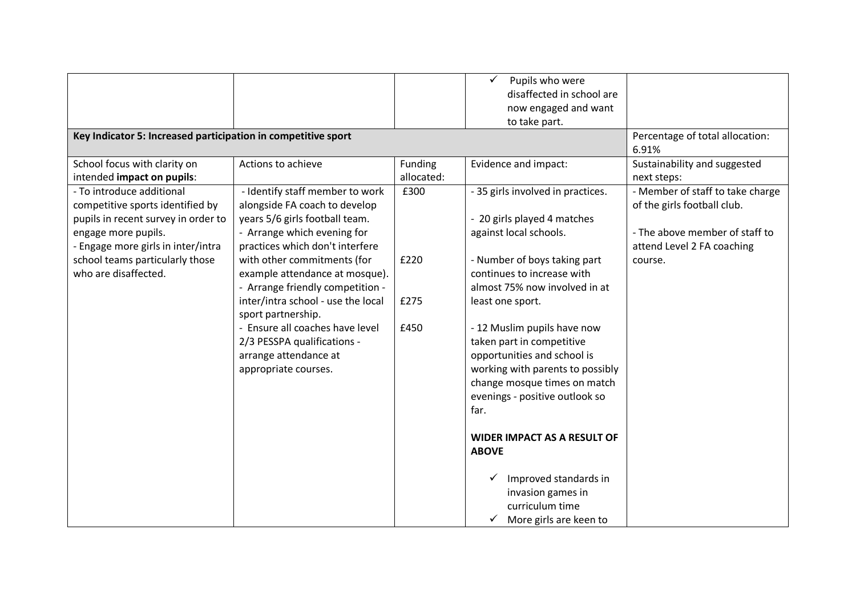| Key Indicator 5: Increased participation in competitive sport                                                                                                                                                                |                                                                                                                                                                                                                                                                                                                                                                                                                                                          |                              | $\checkmark$<br>Pupils who were<br>disaffected in school are<br>now engaged and want<br>to take part.                                                                                                                                                                                                                                                                                                                                                                                                                      | Percentage of total allocation:<br>6.91%                                                                                                   |
|------------------------------------------------------------------------------------------------------------------------------------------------------------------------------------------------------------------------------|----------------------------------------------------------------------------------------------------------------------------------------------------------------------------------------------------------------------------------------------------------------------------------------------------------------------------------------------------------------------------------------------------------------------------------------------------------|------------------------------|----------------------------------------------------------------------------------------------------------------------------------------------------------------------------------------------------------------------------------------------------------------------------------------------------------------------------------------------------------------------------------------------------------------------------------------------------------------------------------------------------------------------------|--------------------------------------------------------------------------------------------------------------------------------------------|
| School focus with clarity on<br>intended impact on pupils:                                                                                                                                                                   | Actions to achieve                                                                                                                                                                                                                                                                                                                                                                                                                                       | Funding<br>allocated:        | Evidence and impact:                                                                                                                                                                                                                                                                                                                                                                                                                                                                                                       | Sustainability and suggested<br>next steps:                                                                                                |
| - To introduce additional<br>competitive sports identified by<br>pupils in recent survey in order to<br>engage more pupils.<br>- Engage more girls in inter/intra<br>school teams particularly those<br>who are disaffected. | - Identify staff member to work<br>alongside FA coach to develop<br>years 5/6 girls football team.<br>- Arrange which evening for<br>practices which don't interfere<br>with other commitments (for<br>example attendance at mosque).<br>- Arrange friendly competition -<br>inter/intra school - use the local<br>sport partnership.<br>- Ensure all coaches have level<br>2/3 PESSPA qualifications -<br>arrange attendance at<br>appropriate courses. | £300<br>£220<br>£275<br>£450 | - 35 girls involved in practices.<br>- 20 girls played 4 matches<br>against local schools.<br>- Number of boys taking part<br>continues to increase with<br>almost 75% now involved in at<br>least one sport.<br>- 12 Muslim pupils have now<br>taken part in competitive<br>opportunities and school is<br>working with parents to possibly<br>change mosque times on match<br>evenings - positive outlook so<br>far.<br><b>WIDER IMPACT AS A RESULT OF</b><br><b>ABOVE</b><br>Improved standards in<br>invasion games in | - Member of staff to take charge<br>of the girls football club.<br>- The above member of staff to<br>attend Level 2 FA coaching<br>course. |
|                                                                                                                                                                                                                              |                                                                                                                                                                                                                                                                                                                                                                                                                                                          |                              | curriculum time<br>More girls are keen to                                                                                                                                                                                                                                                                                                                                                                                                                                                                                  |                                                                                                                                            |